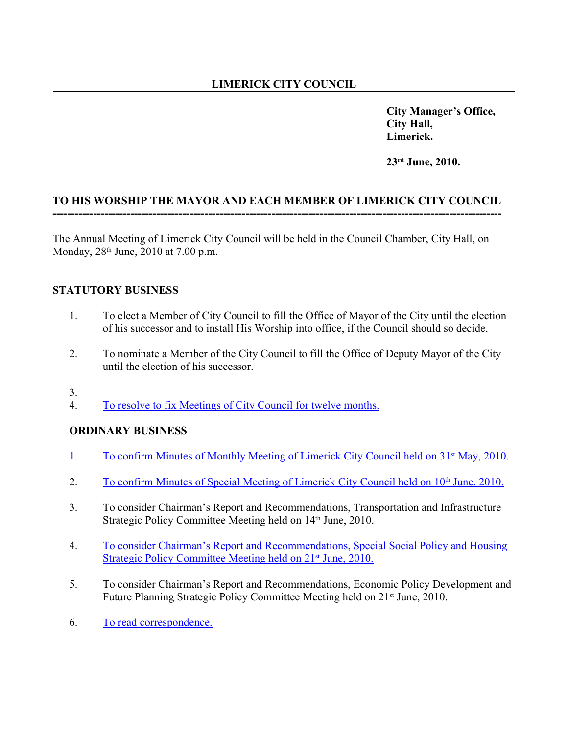# **LIMERICK CITY COUNCIL**

**City Manager's Office, City Hall, Limerick.**

**23rd June, 2010.**

### **TO HIS WORSHIP THE MAYOR AND EACH MEMBER OF LIMERICK CITY COUNCIL -------------------------------------------------------------------------------------------------------------------------**

The Annual Meeting of Limerick City Council will be held in the Council Chamber, City Hall, on Monday, 28<sup>th</sup> June, 2010 at 7.00 p.m.

### **STATUTORY BUSINESS**

- 1. To elect a Member of City Council to fill the Office of Mayor of the City until the election of his successor and to install His Worship into office, if the Council should so decide.
- 2. To nominate a Member of the City Council to fill the Office of Deputy Mayor of the City until the election of his successor.
- 3.
- 4. To resolve to fix Meetings of City Council for twelve months.

## **ORDINARY BUSINESS**

- 1. To confirm Minutes of Monthly Meeting of Limerick City Council held on 31<sup>st</sup> May, 2010.
- 2. To confirm Minutes of Special Meeting of Limerick City Council held on 10<sup>th</sup> June, 2010.
- 3. To consider Chairman's Report and Recommendations, Transportation and Infrastructure Strategic Policy Committee Meeting held on 14<sup>th</sup> June, 2010.
- 4. To consider Chairman's Report and Recommendations, Special Social Policy and Housing Strategic Policy Committee Meeting held on 21<sup>st</sup> June, 2010.
- 5. To consider Chairman's Report and Recommendations, Economic Policy Development and Future Planning Strategic Policy Committee Meeting held on 21<sup>st</sup> June, 2010.
- 6. To read correspondence.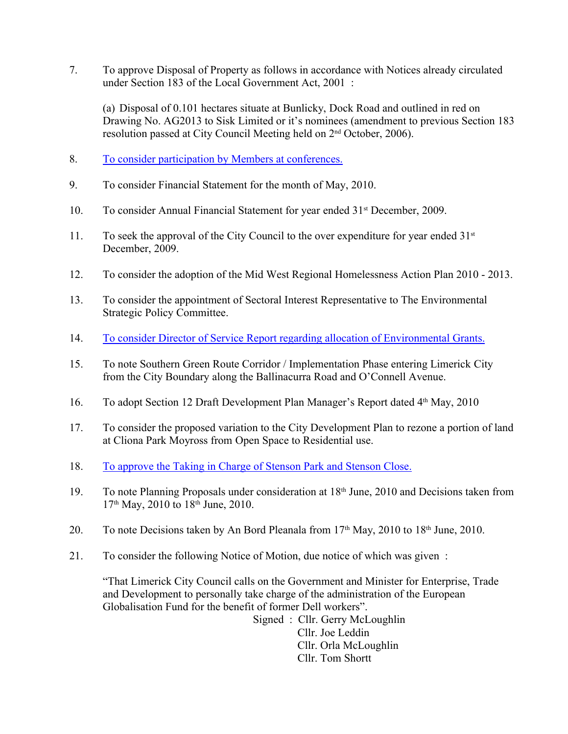7. To approve Disposal of Property as follows in accordance with Notices already circulated under Section 183 of the Local Government Act, 2001 :

(a) Disposal of 0.101 hectares situate at Bunlicky, Dock Road and outlined in red on Drawing No. AG2013 to Sisk Limited or it's nominees (amendment to previous Section 183 resolution passed at City Council Meeting held on 2nd October, 2006).

- 8. To consider participation by Members at conferences.
- 9. To consider Financial Statement for the month of May, 2010.
- 10. To consider Annual Financial Statement for year ended 31<sup>st</sup> December, 2009.
- 11. To seek the approval of the City Council to the over expenditure for year ended  $31<sup>st</sup>$ December, 2009.
- 12. To consider the adoption of the Mid West Regional Homelessness Action Plan 2010 2013.
- 13. To consider the appointment of Sectoral Interest Representative to The Environmental Strategic Policy Committee.
- 14. To consider Director of Service Report regarding allocation of Environmental Grants.
- 15. To note Southern Green Route Corridor / Implementation Phase entering Limerick City from the City Boundary along the Ballinacurra Road and O'Connell Avenue.
- 16. To adopt Section 12 Draft Development Plan Manager's Report dated 4<sup>th</sup> May, 2010
- 17. To consider the proposed variation to the City Development Plan to rezone a portion of land at Cliona Park Moyross from Open Space to Residential use.
- 18. To approve the Taking in Charge of Stenson Park and Stenson Close.
- 19. To note Planning Proposals under consideration at 18<sup>th</sup> June, 2010 and Decisions taken from 17th May, 2010 to 18th June, 2010.
- 20. To note Decisions taken by An Bord Pleanala from 17th May, 2010 to 18th June, 2010.
- 21. To consider the following Notice of Motion, due notice of which was given :

"That Limerick City Council calls on the Government and Minister for Enterprise, Trade and Development to personally take charge of the administration of the European Globalisation Fund for the benefit of former Dell workers".

> Signed : Cllr. Gerry McLoughlin Cllr. Joe Leddin Cllr. Orla McLoughlin Cllr. Tom Shortt